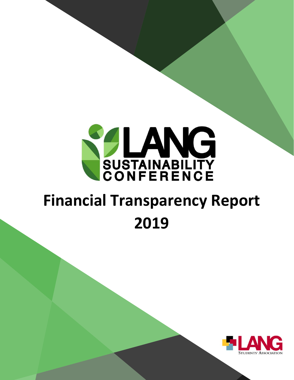

# <span id="page-0-0"></span>**Financial Transparency Report 2019**

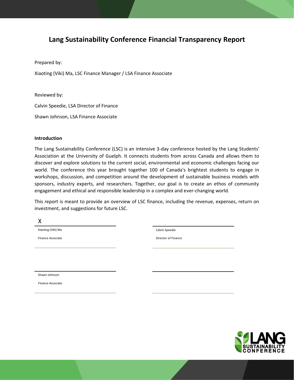### **Lang Sustainability Conference Financial Transparency Report**

Prepared by:

Xiaoting (Viki) Ma, LSC Finance Manager / LSA Finance Associate

Reviewed by:

Calvin Speedie, LSA Director of Finance

Shawn Johnson, LSA Finance Associate

#### **Introduction**

The Lang Sustainability Conference (LSC) is an intensive 3-day conference hosted by the Lang Students' Association at the University of Guelph. It connects students from across Canada and allows them to discover and explore solutions to the current social, environmental and economic challenges facing our world. The conference this year brought together 100 of Canada's brightest students to engage in workshops, discussion, and competition around the development of sustainable business models with sponsors, industry experts, and researchers. Together, our goal is to create an ethos of community engagement and ethical and responsible leadership in a complex and ever-changing world.

This report is meant to provide an overview of LSC finance, including the revenue, expenses, return on investment, and suggestions for future LSC.

X

Xiaoting (Viki) Ma

Finance Associate

Calvin Speedie

Director of Finance

Shawn Johnson

Finance Associate

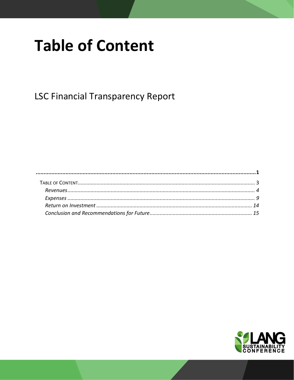## <span id="page-2-0"></span>**Table of Content**

**LSC Financial Transparency Report** 

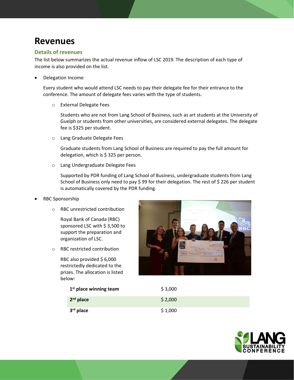### <span id="page-3-0"></span>**Revenues**

#### **Details of revenues**

The list below summarizes the actual revenue inflow of LSC 2019. The description of each type of income is also provided on the list.

• Delegation Income

Every student who would attend LSC needs to pay their delegate fee for their entrance to the conference. The amount of delegate fees varies with the type of students.

o External Delegate Fees

Students who are not from Lang School of Business, such as art students at the University of Guelph or students from other universities, are considered external delegates. The delegate fee is \$325 per student.

o Lang Graduate Delegate Fees

Graduate students from Lang School of Business are required to pay the full amount for delegation, which is \$325 per person.

o Lang Undergraduate Delegate Fees

Supported by PDR funding of Lang School of Business, undergraduate students from Lang School of Business only need to pay \$ 99 for their delegation. The rest of \$ 226 per student is automatically covered by the PDR funding.

- RBC Sponsorship
	- o RBC unrestricted contribution

Royal Bank of Canada (RBC) sponsored LSC with \$ 3,500 to support the preparation and organization of LSC.

o RBC restricted contribution

RBC also provided \$ 6,000 restrictedly dedicated to the prizes. The allocation is listed below:



| $1st$ place winning team | \$3,000 |
|--------------------------|---------|
| $2nd$ place              | \$2,000 |
| 3 <sup>rd</sup> place    | \$1,000 |

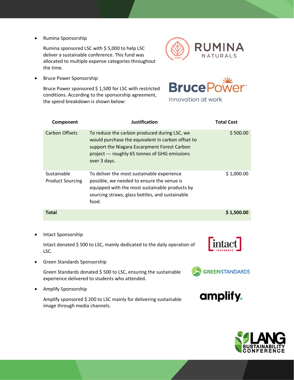• Rumina Sponsorship

Rumina sponsored LSC with \$ 5,000 to help LSC deliver a sustainable conference. This fund was allocated to multiple expense categories throughout the time.



• Bruce Power Sponsorship

Bruce Power sponsored \$ 1,500 for LSC with restricted conditions. According to the sponsorship agreement, the spend breakdown is shown below:



Innovation at work

|           | Component                              | <b>Justification</b>                                                                                                                                                                                                | <b>Total Cost</b> |
|-----------|----------------------------------------|---------------------------------------------------------------------------------------------------------------------------------------------------------------------------------------------------------------------|-------------------|
|           | <b>Carbon Offsets</b>                  | To reduce the carbon produced during LSC, we<br>would purchase the equivalent in carbon offset to<br>support the Niagara Escarpment Forest Carbon<br>project --- roughly 65 tonnes of GHG emissions<br>over 3 days. | \$500.00          |
|           | Sustainable<br><b>Product Sourcing</b> | To deliver the most sustainable experience<br>possible, we needed to ensure the venue is<br>equipped with the most sustainable products by<br>sourcing straws, glass bottles, and sustainable<br>food.              | \$1,000.00        |
|           | <b>Total</b>                           |                                                                                                                                                                                                                     | \$1,500.00        |
|           |                                        |                                                                                                                                                                                                                     |                   |
| $\bullet$ | Intact Sponsorship                     |                                                                                                                                                                                                                     |                   |
|           | LSC.                                   | Intact donated \$500 to LSC, mainly dedicated to the daily operation of                                                                                                                                             |                   |
|           | Green Standards Sponsorship            |                                                                                                                                                                                                                     |                   |

Green Standards donated \$ 500 to LSC, ensuring the sustainable

experience delivered to students who attended.

• Amplify Sponsorship

Amplify sponsored \$ 200 to LSC mainly for delivering sustainable image through media channels.



**GREEN STANDARDS** 

amplify.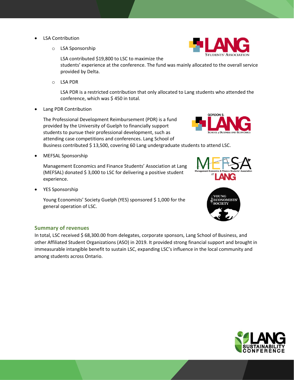- LSA Contribution
	- o LSA Sponsorship

LSA contributed \$19,800 to LSC to maximize the

students' experience at the conference. The fund was mainly allocated to the overall service provided by Delta.

o LSA PDR

LSA PDR is a restricted contribution that only allocated to Lang students who attended the conference, which was \$ 450 in total.

• Lang PDR Contribution

The Professional Development Reimbursement (PDR) is a fund provided by the University of Guelph to financially support students to pursue their professional development, such as attending case competitions and conferences. Lang School of

Business contributed \$ 13,500, covering 60 Lang undergraduate students to attend LSC.

• MEFSAL Sponsorship

Management Economics and Finance Students' Association at Lang (MEFSAL) donated \$ 3,000 to LSC for delivering a positive student experience.

• YES Sponsorship

Young Economists' Society Guelph (YES) sponsored \$1,000 for the general operation of LSC.

#### **Summary of revenues**

In total, LSC received \$68,300.00 from delegates, corporate sponsors, Lang School of Business, and other Affiliated Student Organizations (ASO) in 2019. It provided strong financial support and brought in immeasurable intangible benefit to sustain LSC, expanding LSC's influence in the local community and among students across Ontario.





**GORDON S** 



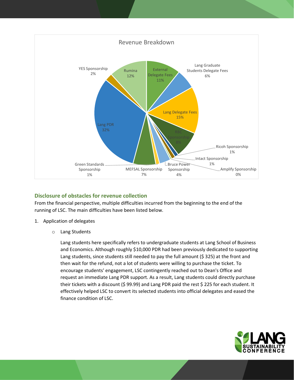

#### **Disclosure of obstacles for revenue collection**

From the financial perspective, multiple difficulties incurred from the beginning to the end of the running of LSC. The main difficulties have been listed below.

- 1. Application of delegates
	- o Lang Students

Lang students here specifically refers to undergraduate students at Lang School of Business and Economics. Although roughly \$10,000 PDR had been previously dedicated to supporting Lang students, since students still needed to pay the full amount (\$ 325) at the front and then wait for the refund, not a lot of students were willing to purchase the ticket. To encourage students' engagement, LSC contingently reached out to Dean's Office and request an immediate Lang PDR support. As a result, Lang students could directly purchase their tickets with a discount (\$ 99.99) and Lang PDR paid the rest \$ 225 for each student. It effectively helped LSC to convert its selected students into official delegates and eased the finance condition of LSC.

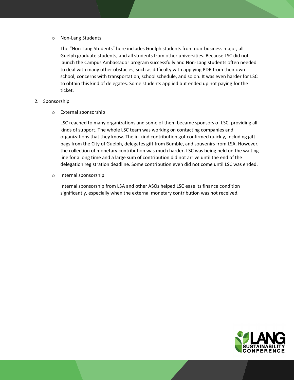#### o Non-Lang Students

The "Non-Lang Students" here includes Guelph students from non-business major, all Guelph graduate students, and all students from other universities. Because LSC did not launch the Campus Ambassador program successfully and Non-Lang students often needed to deal with many other obstacles, such as difficulty with applying PDR from their own school, concerns with transportation, school schedule, and so on. It was even harder for LSC to obtain this kind of delegates. Some students applied but ended up not paying for the ticket.

#### 2. Sponsorship

o External sponsorship

LSC reached to many organizations and some of them became sponsors of LSC, providing all kinds of support. The whole LSC team was working on contacting companies and organizations that they know. The in-kind contribution got confirmed quickly, including gift bags from the City of Guelph, delegates gift from Bumble, and souvenirs from LSA. However, the collection of monetary contribution was much harder. LSC was being held on the waiting line for a long time and a large sum of contribution did not arrive until the end of the delegation registration deadline. Some contribution even did not come until LSC was ended.

o Internal sponsorship

Internal sponsorship from LSA and other ASOs helped LSC ease its finance condition significantly, especially when the external monetary contribution was not received.

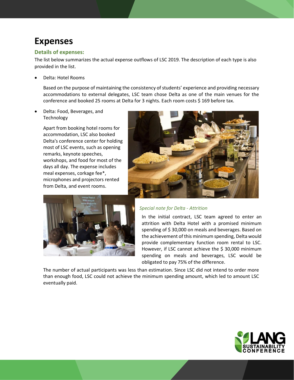## <span id="page-8-0"></span>**Expenses**

#### **Details of expenses:**

The list below summarizes the actual expense outflows of LSC 2019. The description of each type is also provided in the list.

• Delta: Hotel Rooms

Based on the purpose of maintaining the consistency of students' experience and providing necessary accommodations to external delegates, LSC team chose Delta as one of the main venues for the conference and booked 25 rooms at Delta for 3 nights. Each room costs \$ 169 before tax.

• Delta: Food, Beverages, and **Technology** 

> Apart from booking hotel rooms for accommodation, LSC also booked Delta's conference center for holding most of LSC events, such as opening remarks, keynote speeches, workshops, and food for most of the days all day. The expense includes meal expenses, corkage fee\*, microphones and projectors rented from Delta, and event rooms.





#### *Special note for Delta - Attrition*

In the initial contract, LSC team agreed to enter an attrition with Delta Hotel with a promised minimum spending of \$ 30,000 on meals and beverages. Based on the achievement of this minimum spending, Delta would provide complementary function room rental to LSC. However, if LSC cannot achieve the \$ 30,000 minimum spending on meals and beverages, LSC would be obligated to pay 75% of the difference.

The number of actual participants was less than estimation. Since LSC did not intend to order more than enough food, LSC could not achieve the minimum spending amount, which led to amount LSC eventually paid.

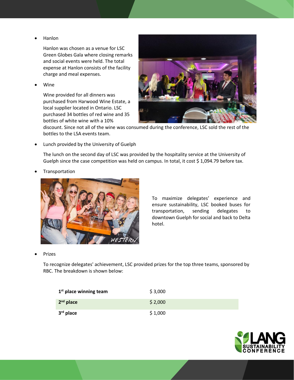• Hanlon

Hanlon was chosen as a venue for LSC Green Globes Gala where closing remarks and social events were held. The total expense at Hanlon consists of the facility charge and meal expenses.

• Wine

Wine provided for all dinners was purchased from Harwood Wine Estate, a local supplier located in Ontario. LSC purchased 34 bottles of red wine and 35 bottles of white wine with a 10%



discount. Since not all of the wine was consumed during the conference, LSC sold the rest of the bottles to the LSA events team.

• Lunch provided by the University of Guelph

The lunch on the second day of LSC was provided by the hospitality service at the University of Guelph since the case competition was held on campus. In total, it cost \$ 1,094.79 before tax.

**Transportation** 



To maximize delegates' experience and ensure sustainability, LSC booked buses for transportation, sending delegates to downtown Guelph for social and back to Delta hotel.

**Prizes** 

To recognize delegates' achievement, LSC provided prizes for the top three teams, sponsored by RBC. The breakdown is shown below:

| $1st$ place winning team | \$3,000 |
|--------------------------|---------|
| $2nd$ place              | \$2,000 |
| $3rd$ place              | \$1,000 |

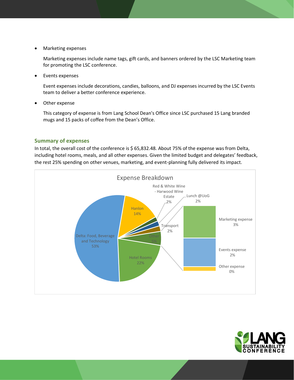• Marketing expenses

Marketing expenses include name tags, gift cards, and banners ordered by the LSC Marketing team for promoting the LSC conference.

• Events expenses

Event expenses include decorations, candies, balloons, and DJ expenses incurred by the LSC Events team to deliver a better conference experience.

Other expense

This category of expense is from Lang School Dean's Office since LSC purchased 15 Lang branded mugs and 15 packs of coffee from the Dean's Office.

#### **Summary of expenses**

In total, the overall cost of the conference is \$ 65,832.48. About 75% of the expense was from Delta, including hotel rooms, meals, and all other expenses. Given the limited budget and delegates' feedback, the rest 25% spending on other venues, marketing, and event-planning fully delivered its impact.



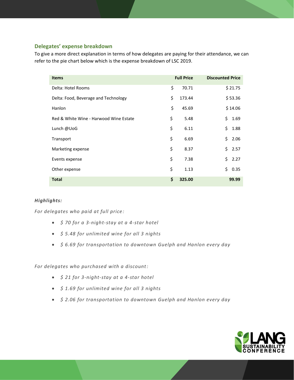#### **Delegates' expense breakdown**

To give a more direct explanation in terms of how delegates are paying for their attendance, we can refer to the pie chart below which is the expense breakdown of LSC 2019.

| <b>Items</b>                           | <b>Full Price</b> | <b>Discounted Price</b> |
|----------------------------------------|-------------------|-------------------------|
| Delta: Hotel Rooms                     | \$<br>70.71       | \$21.75                 |
| Delta: Food, Beverage and Technology   | \$<br>173.44      | \$53.36                 |
| Hanlon                                 | \$<br>45.69       | \$14.06                 |
| Red & White Wine - Harwood Wine Estate | \$<br>5.48        | \$<br>1.69              |
| Lunch @UoG                             | \$<br>6.11        | \$<br>1.88              |
| Transport                              | \$<br>6.69        | \$<br>2.06              |
| Marketing expense                      | \$<br>8.37        | \$<br>2.57              |
| Events expense                         | \$<br>7.38        | \$<br>2.27              |
| Other expense                          | \$<br>1.13        | \$<br>0.35              |
| <b>Total</b>                           | \$<br>325.00      | 99.99                   |

#### *Highlights:*

*For delegates who paid at full price:*

- *\$ 70 for a 3-night-stay at a 4-star hotel*
- *\$ 5.48 for unlimited wine for all 3 nights*
- *\$ 6.69 for transportation to downtown Guelph and Hanlon every day*

#### *For delegates who purchased with a discount:*

- *\$ 21 for 3-night-stay at a 4-star hotel*
- *\$ 1.69 for unlimited wine for all 3 nights*
- *\$ 2.06 for transportation to downtown Guelph and Hanlon every day*

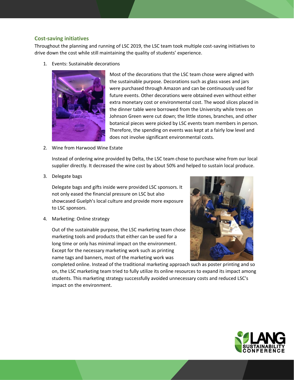#### **Cost-saving initiatives**

Throughout the planning and running of LSC 2019, the LSC team took multiple cost-saving initiatives to drive down the cost while still maintaining the quality of students' experience.

1. Events: Sustainable decorations



Most of the decorations that the LSC team chose were aligned with the sustainable purpose. Decorations such as glass vases and jars were purchased through Amazon and can be continuously used for future events. Other decorations were obtained even without either extra monetary cost or environmental cost. The wood slices placed in the dinner table were borrowed from the University while trees on Johnson Green were cut down; the little stones, branches, and other botanical pieces were picked by LSC events team members in person. Therefore, the spending on events was kept at a fairly low level and does not involve significant environmental costs.

2. Wine from Harwood Wine Estate

Instead of ordering wine provided by Delta, the LSC team chose to purchase wine from our local supplier directly. It decreased the wine cost by about 50% and helped to sustain local produce.

3. Delegate bags

Delegate bags and gifts inside were provided LSC sponsors. It not only eased the financial pressure on LSC but also showcased Guelph's local culture and provide more exposure to LSC sponsors.

4. Marketing: Online strategy

Out of the sustainable purpose, the LSC marketing team chose marketing tools and products that either can be used for a long time or only has minimal impact on the environment. Except for the necessary marketing work such as printing name tags and banners, most of the marketing work was

completed online. Instead of the traditional marketing approach such as poster printing and so on, the LSC marketing team tried to fully utilize its online resources to expand its impact among students. This marketing strategy successfully avoided unnecessary costs and reduced LSC's impact on the environment.

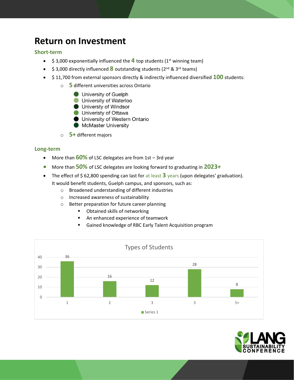## <span id="page-13-0"></span>**Return on Investment**

#### **Short-term**

- $\bullet$  \$ 3,000 exponentially influenced the  $\overline{4}$  top students (1<sup>st</sup> winning team)
- \$ 3,000 directly influenced **8** outstanding students (2<sup>nd</sup> & 3<sup>rd</sup> teams)
- \$ 11,700 from external sponsors directly & indirectly influenced diversified **100** students:
	- o **5** different universities across Ontario
		- University of Guelph
		- University of Waterloo
		- **Universty of Windsor**
		- **Univeristy of Ottawa**
		- University of Western Ontario
		- McMaster University
	- o **5+** different majors

#### **Long-term**

- More than **60%** of LSC delegates are from 1st 3rd year
- More than **50%** of LSC delegates are looking forward to graduating in **2023+**
- The effect of \$62,800 spending can last for at least 3 years (upon delegates' graduation). It would benefit students, Guelph campus, and sponsors, such as:
	- o Broadened understanding of different industries
	- o Increased awareness of sustainability
	- o Better preparation for future career planning
		- Obtained skills of networking
		- An enhanced experience of teamwork
		- Gained knowledge of RBC Early Talent Acquisition program